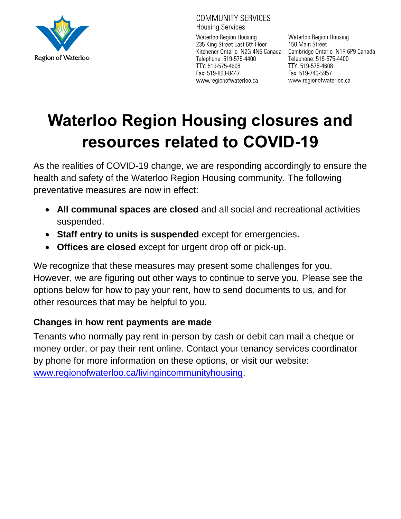

**COMMUNITY SERVICES Housing Services** 

Waterloo Region Housing 235 King Street East 6th Floor Kitchener Ontario N2G 4N5 Canada Telephone: 519-575-4400 TTY: 519-575-4608 Fax: 519-893-8447 www.regionofwaterloo.ca

Waterloo Region Housing 150 Main Street Cambridge Ontario N1R 6P9 Canada Telephone: 519-575-4400 TTY: 519-575-4608 Fax: 519-740-5957 www.regionofwaterloo.ca

# **Waterloo Region Housing closures and resources related to COVID-19**

As the realities of COVID-19 change, we are responding accordingly to ensure the health and safety of the Waterloo Region Housing community. The following preventative measures are now in effect:

- **All communal spaces are closed** and all social and recreational activities suspended.
- **Staff entry to units is suspended** except for emergencies.
- **Offices are closed** except for urgent drop off or pick-up.

We recognize that these measures may present some challenges for you. However, we are figuring out other ways to continue to serve you. Please see the options below for how to pay your rent, how to send documents to us, and for other resources that may be helpful to you.

## **Changes in how rent payments are made**

Tenants who normally pay rent in-person by cash or debit can mail a cheque or money order, or pay their rent online. Contact your tenancy services coordinator by phone for more information on these options, or visit our website: [www.regionofwaterloo.ca/livingincommunityhousing.](http://www.regionofwaterloo.ca/livingincommunityhousing)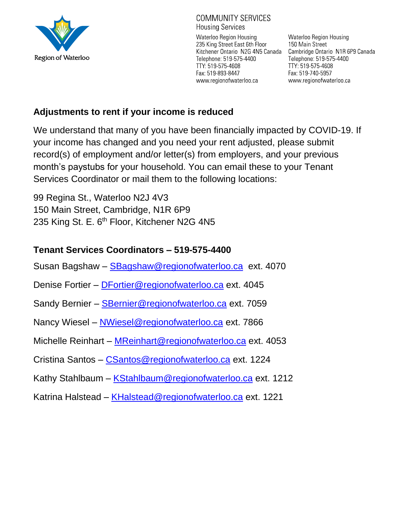

#### **COMMUNITY SERVICES Housing Services**

Waterloo Region Housing 235 King Street East 6th Floor Kitchener Ontario N2G 4N5 Canada Telephone: 519-575-4400 TTY: 519-575-4608 Fax: 519-893-8447 www.regionofwaterloo.ca

**Waterloo Region Housing** 150 Main Street Cambridge Ontario N1R 6P9 Canada Telephone: 519-575-4400 TTY: 519-575-4608 Fax: 519-740-5957 www.regionofwaterloo.ca

#### **Adjustments to rent if your income is reduced**

We understand that many of you have been financially impacted by COVID-19. If your income has changed and you need your rent adjusted, please submit record(s) of employment and/or letter(s) from employers, and your previous month's paystubs for your household. You can email these to your Tenant Services Coordinator or mail them to the following locations:

99 Regina St., Waterloo N2J 4V3 150 Main Street, Cambridge, N1R 6P9 235 King St. E. 6<sup>th</sup> Floor, Kitchener N2G 4N5

## **Tenant Services Coordinators – 519-575-4400**

- Susan Bagshaw [SBagshaw@regionofwaterloo.ca](mailto:SBagshaw@regionofwaterloo.ca) ext. 4070
- Denise Fortier [DFortier@regionofwaterloo.ca](mailto:DFortier@regionofwaterloo.ca) ext. 4045
- Sandy Bernier [SBernier@regionofwaterloo.ca](mailto:SBernier@regionofwaterloo.ca) ext. 7059
- Nancy Wiesel [NWiesel@regionofwaterloo.ca](mailto:NWiesel@regionofwaterloo.ca) ext. 7866
- Michelle Reinhart [MReinhart@regionofwaterloo.ca](mailto:MReinhart@regionofwaterloo.ca) ext. 4053
- Cristina Santos [CSantos@regionofwaterloo.ca](mailto:CSantos@regionofwaterloo.ca) ext. 1224
- Kathy Stahlbaum [KStahlbaum@regionofwaterloo.ca](mailto:KStahlbaum@regionofwaterloo.ca) ext. 1212
- Katrina Halstead [KHalstead@regionofwaterloo.ca](mailto:KHalstead@regionofwaterloo.ca) ext. 1221